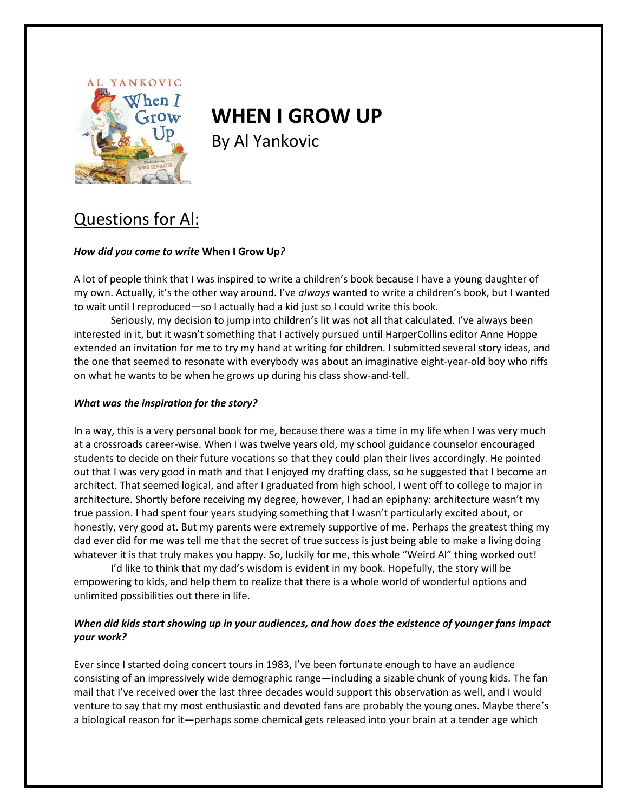

# **WHEN I GROW UP**

By Al Yankovic

## Questions for Al:

### *How did you come to write* **When I Grow Up***?*

A lot of people think that I was inspired to write a children's book because I have a young daughter of my own. Actually, it's the other way around. I've *always* wanted to write a children's book, but I wanted to wait until I reproduced—so I actually had a kid just so I could write this book.

Seriously, my decision to jump into children's lit was not all that calculated. I've always been interested in it, but it wasn't something that I actively pursued until HarperCollins editor Anne Hoppe extended an invitation for me to try my hand at writing for children. I submitted several story ideas, and the one that seemed to resonate with everybody was about an imaginative eight-year-old boy who riffs on what he wants to be when he grows up during his class show-and-tell.

#### *What was the inspiration for the story?*

In a way, this is a very personal book for me, because there was a time in my life when I was very much at a crossroads career-wise. When I was twelve years old, my school guidance counselor encouraged students to decide on their future vocations so that they could plan their lives accordingly. He pointed out that I was very good in math and that I enjoyed my drafting class, so he suggested that I become an architect. That seemed logical, and after I graduated from high school, I went off to college to major in architecture. Shortly before receiving my degree, however, I had an epiphany: architecture wasn't my true passion. I had spent four years studying something that I wasn't particularly excited about, or honestly, very good at. But my parents were extremely supportive of me. Perhaps the greatest thing my dad ever did for me was tell me that the secret of true success is just being able to make a living doing whatever it is that truly makes you happy. So, luckily for me, this whole "Weird Al" thing worked out!

I'd like to think that my dad's wisdom is evident in my book. Hopefully, the story will be empowering to kids, and help them to realize that there is a whole world of wonderful options and unlimited possibilities out there in life.

### *When did kids start showing up in your audiences, and how does the existence of younger fans impact your work?*

Ever since I started doing concert tours in 1983, I've been fortunate enough to have an audience consisting of an impressively wide demographic range—including a sizable chunk of young kids. The fan mail that I've received over the last three decades would support this observation as well, and I would venture to say that my most enthusiastic and devoted fans are probably the young ones. Maybe there's a biological reason for it—perhaps some chemical gets released into your brain at a tender age which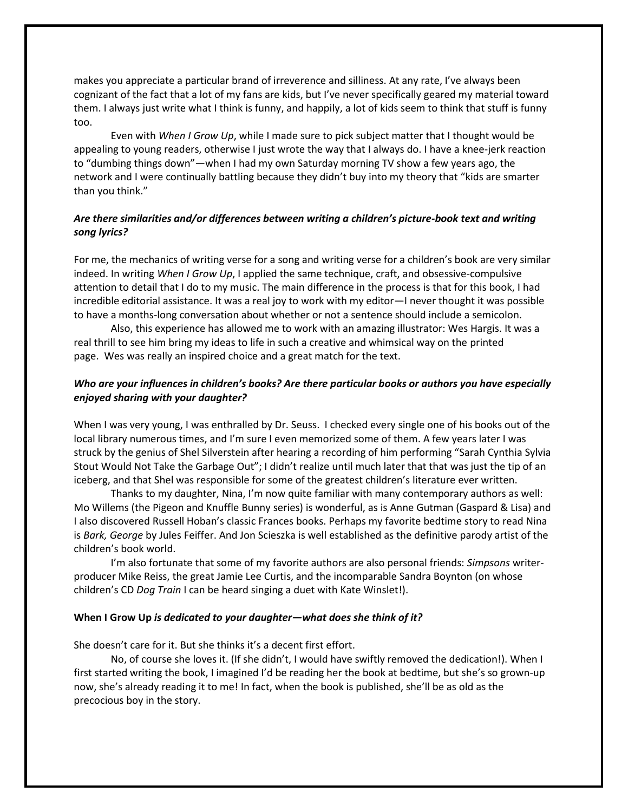makes you appreciate a particular brand of irreverence and silliness. At any rate, I've always been cognizant of the fact that a lot of my fans are kids, but I've never specifically geared my material toward them. I always just write what I think is funny, and happily, a lot of kids seem to think that stuff is funny too.

Even with *When I Grow Up*, while I made sure to pick subject matter that I thought would be appealing to young readers, otherwise I just wrote the way that I always do. I have a knee-jerk reaction to "dumbing things down"—when I had my own Saturday morning TV show a few years ago, the network and I were continually battling because they didn't buy into my theory that "kids are smarter than you think."

#### *Are there similarities and/or differences between writing a children's picture-book text and writing song lyrics?*

For me, the mechanics of writing verse for a song and writing verse for a children's book are very similar indeed. In writing *When I Grow Up*, I applied the same technique, craft, and obsessive-compulsive attention to detail that I do to my music. The main difference in the process is that for this book, I had incredible editorial assistance. It was a real joy to work with my editor—I never thought it was possible to have a months-long conversation about whether or not a sentence should include a semicolon.

Also, this experience has allowed me to work with an amazing illustrator: Wes Hargis. It was a real thrill to see him bring my ideas to life in such a creative and whimsical way on the printed page. Wes was really an inspired choice and a great match for the text.

#### *Who are your influences in children's books? Are there particular books or authors you have especially enjoyed sharing with your daughter?*

When I was very young, I was enthralled by Dr. Seuss. I checked every single one of his books out of the local library numerous times, and I'm sure I even memorized some of them. A few years later I was struck by the genius of Shel Silverstein after hearing a recording of him performing "Sarah Cynthia Sylvia Stout Would Not Take the Garbage Out"; I didn't realize until much later that that was just the tip of an iceberg, and that Shel was responsible for some of the greatest children's literature ever written.

Thanks to my daughter, Nina, I'm now quite familiar with many contemporary authors as well: Mo Willems (the Pigeon and Knuffle Bunny series) is wonderful, as is Anne Gutman (Gaspard & Lisa) and I also discovered Russell Hoban's classic Frances books. Perhaps my favorite bedtime story to read Nina is *Bark, George* by Jules Feiffer. And Jon Scieszka is well established as the definitive parody artist of the children's book world.

I'm also fortunate that some of my favorite authors are also personal friends: *Simpsons* writerproducer Mike Reiss, the great Jamie Lee Curtis, and the incomparable Sandra Boynton (on whose children's CD *Dog Train* I can be heard singing a duet with Kate Winslet!).

#### **When I Grow Up** *is dedicated to your daughter—what does she think of it?*

She doesn't care for it. But she thinks it's a decent first effort.

No, of course she loves it. (If she didn't, I would have swiftly removed the dedication!). When I first started writing the book, I imagined I'd be reading her the book at bedtime, but she's so grown-up now, she's already reading it to me! In fact, when the book is published, she'll be as old as the precocious boy in the story.